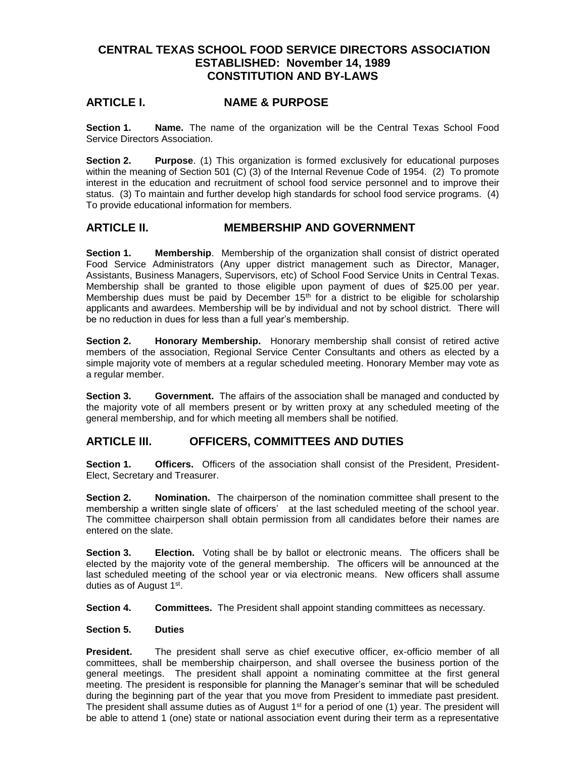# **CENTRAL TEXAS SCHOOL FOOD SERVICE DIRECTORS ASSOCIATION ESTABLISHED: November 14, 1989 CONSTITUTION AND BY-LAWS**

## **ARTICLE I. NAME & PURPOSE**

**Section 1. Name.** The name of the organization will be the Central Texas School Food Service Directors Association.

**Section 2. Purpose**. (1) This organization is formed exclusively for educational purposes within the meaning of Section 501 (C) (3) of the Internal Revenue Code of 1954. (2) To promote interest in the education and recruitment of school food service personnel and to improve their status. (3) To maintain and further develop high standards for school food service programs. (4) To provide educational information for members.

### **ARTICLE II. MEMBERSHIP AND GOVERNMENT**

**Section 1. Membership**. Membership of the organization shall consist of district operated Food Service Administrators (Any upper district management such as Director, Manager, Assistants, Business Managers, Supervisors, etc) of School Food Service Units in Central Texas. Membership shall be granted to those eligible upon payment of dues of \$25.00 per year. Membership dues must be paid by December  $15<sup>th</sup>$  for a district to be eligible for scholarship applicants and awardees. Membership will be by individual and not by school district. There will be no reduction in dues for less than a full year's membership.

**Section 2. Honorary Membership.** Honorary membership shall consist of retired active members of the association, Regional Service Center Consultants and others as elected by a simple majority vote of members at a regular scheduled meeting. Honorary Member may vote as a regular member.

**Section 3. Government.** The affairs of the association shall be managed and conducted by the majority vote of all members present or by written proxy at any scheduled meeting of the general membership, and for which meeting all members shall be notified.

### **ARTICLE III. OFFICERS, COMMITTEES AND DUTIES**

**Section 1. Officers.** Officers of the association shall consist of the President, President-Elect, Secretary and Treasurer.

**Section 2. Nomination.** The chairperson of the nomination committee shall present to the membership a written single slate of officers' at the last scheduled meeting of the school year. The committee chairperson shall obtain permission from all candidates before their names are entered on the slate.

**Section 3. Election.** Voting shall be by ballot or electronic means. The officers shall be elected by the majority vote of the general membership. The officers will be announced at the last scheduled meeting of the school year or via electronic means. New officers shall assume duties as of August 1st.

**Section 4. Committees.** The President shall appoint standing committees as necessary.

#### **Section 5. Duties**

**President.** The president shall serve as chief executive officer, ex-officio member of all committees, shall be membership chairperson, and shall oversee the business portion of the general meetings. The president shall appoint a nominating committee at the first general meeting. The president is responsible for planning the Manager's seminar that will be scheduled during the beginning part of the year that you move from President to immediate past president. The president shall assume duties as of August 1<sup>st</sup> for a period of one (1) year. The president will be able to attend 1 (one) state or national association event during their term as a representative